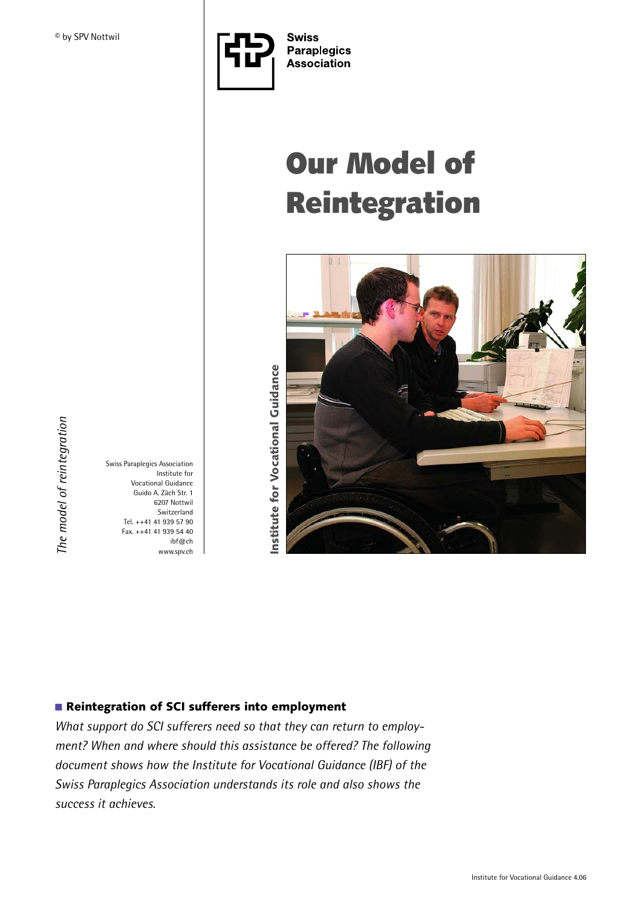

# **Our Model of Reintegration**



Swiss Paraplegics Association Institute for Vocational Guidance Guido A. Zäch Str. 1 6207 Nottwil Switzerland Tel. ++41 41 939 57 90 Fax. ++41 41 939 54 40 ibf@ch www.spv.ch

## ■ **Reintegration of SCI sufferers into employment**

*What support do SCI sufferers need so that they can return to employment? When and where should this assistance be offered? The following document shows how the Institute for Vocational Guidance (IBF) of the Swiss Paraplegics Association understands its role and also shows the success it achieves.*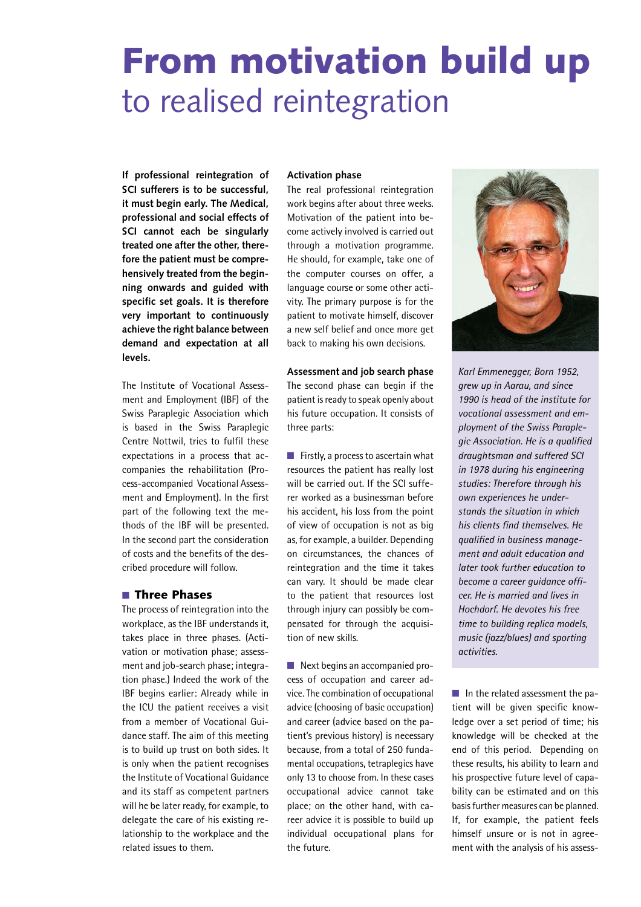## **From motivation build up**  to realised reintegration

**If professional reintegration of SCI sufferers is to be successful, it must begin early. The Medical, professional and social effects of SCI cannot each be singularly treated one after the other, therefore the patient must be comprehensively treated from the beginning onwards and guided with specific set goals. It is therefore very important to continuously achieve the right balance between demand and expectation at all levels.**

The Institute of Vocational Assessment and Employment (IBF) of the Swiss Paraplegic Association which is based in the Swiss Paraplegic Centre Nottwil, tries to fulfil these expectations in a process that accompanies the rehabilitation (Process-accompanied Vocational Assessment and Employment). In the first part of the following text the methods of the IBF will be presented. In the second part the consideration of costs and the benefits of the described procedure will follow.

## ■ **Three Phases**

The process of reintegration into the workplace, as the IBF understands it, takes place in three phases. (Activation or motivation phase; assessment and job-search phase; integration phase.) Indeed the work of the IBF begins earlier: Already while in the ICU the patient receives a visit from a member of Vocational Guidance staff. The aim of this meeting is to build up trust on both sides. It is only when the patient recognises the Institute of Vocational Guidance and its staff as competent partners will he be later ready, for example, to delegate the care of his existing relationship to the workplace and the related issues to them.

### **Activation phase**

The real professional reintegration work begins after about three weeks. Motivation of the patient into become actively involved is carried out through a motivation programme. He should, for example, take one of the computer courses on offer, a language course or some other activity. The primary purpose is for the patient to motivate himself, discover a new self belief and once more get back to making his own decisions.

#### **Assessment and job search phase**

The second phase can begin if the patient is ready to speak openly about his future occupation. It consists of three parts:

■ Firstly, a process to ascertain what resources the patient has really lost will be carried out. If the SCI sufferer worked as a businessman before his accident, his loss from the point of view of occupation is not as big as, for example, a builder. Depending on circumstances, the chances of reintegration and the time it takes can vary. It should be made clear to the patient that resources lost through injury can possibly be compensated for through the acquisition of new skills.

■ Next begins an accompanied process of occupation and career advice. The combination of occupational advice (choosing of basic occupation) and career (advice based on the patient's previous history) is necessary because, from a total of 250 fundamental occupations, tetraplegics have only 13 to choose from. In these cases occupational advice cannot take place; on the other hand, with career advice it is possible to build up individual occupational plans for the future.



*Karl Emmenegger, Born 1952, grew up in Aarau, and since 1990 is head of the institute for vocational assessment and employment of the Swiss Paraplegic Association. He is a qualified draughtsman and suffered SCI in 1978 during his engineering studies: Therefore through his own experiences he understands the situation in which his clients find themselves. He qualified in business management and adult education and later took further education to become a career guidance officer. He is married and lives in Hochdorf. He devotes his free time to building replica models, music (jazz/blues) and sporting activities.*

■ In the related assessment the patient will be given specific knowledge over a set period of time; his knowledge will be checked at the end of this period. Depending on these results, his ability to learn and his prospective future level of capability can be estimated and on this basis further measures can be planned. If, for example, the patient feels himself unsure or is not in agreement with the analysis of his assess-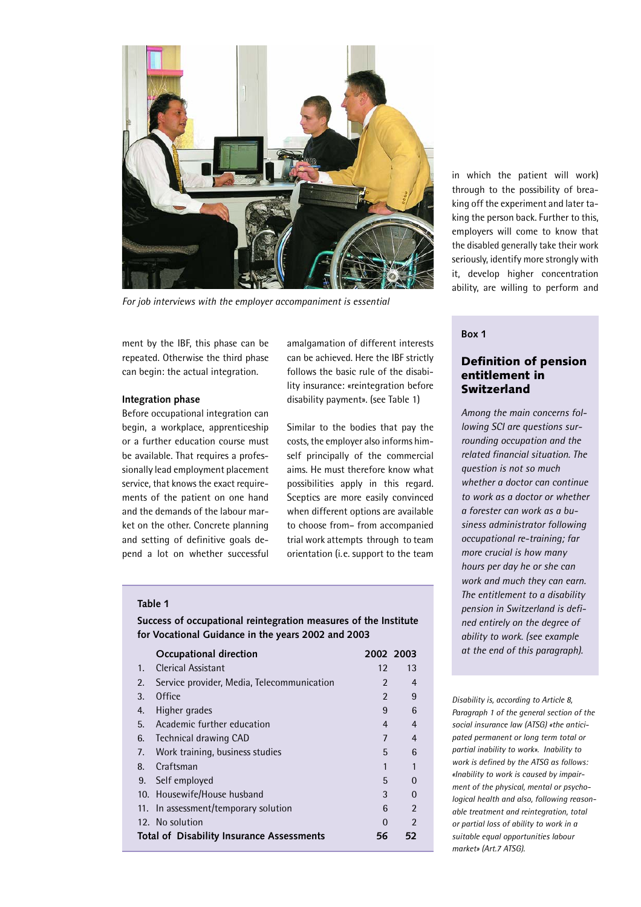

*For job interviews with the employer accompaniment is essential*

ment by the IBF, this phase can be repeated. Otherwise the third phase can begin: the actual integration.

#### **Integration phase**

Before occupational integration can begin, a workplace, apprenticeship or a further education course must be available. That requires a professionally lead employment placement service, that knows the exact requirements of the patient on one hand and the demands of the labour market on the other. Concrete planning and setting of definitive goals depend a lot on whether successful

amalgamation of different interests can be achieved. Here the IBF strictly follows the basic rule of the disability insurance: «reintegration before disability payment». (see Table 1)

Similar to the bodies that pay the costs, the employer also informs himself principally of the commercial aims. He must therefore know what possibilities apply in this regard. Sceptics are more easily convinced when different options are available to choose from– from accompanied trial work attempts through to team orientation (i.e. support to the team

#### **Table 1**

|                                           | Occupational direction                     | 2002 2003      |                |
|-------------------------------------------|--------------------------------------------|----------------|----------------|
| 1.                                        | Clerical Assistant                         | 12             | 13             |
| 2.                                        | Service provider, Media, Telecommunication | $\mathfrak{p}$ | 4              |
| 3.                                        | Office                                     | $\mathcal{P}$  | 9              |
| 4.                                        | Higher grades                              | 9              | 6              |
| 5.                                        | Academic further education                 | $\overline{4}$ | $\overline{4}$ |
| 6.                                        | <b>Technical drawing CAD</b>               | $\overline{7}$ | $\overline{4}$ |
| 7.                                        | Work training, business studies            | 5              | 6              |
| 8.                                        | Craftsman                                  | 1              | 1              |
| 9.                                        | Self employed                              | 5              | $\Omega$       |
|                                           | 10. Housewife/House husband                | 3              | 0              |
|                                           | 11. In assessment/temporary solution       | 6              | $\mathfrak{p}$ |
|                                           | 12. No solution                            | 0              | 2              |
| Total of Disability Insurance Assessments |                                            |                | 52             |

**Success of occupational reintegration measures of the Institute for Vocational Guidance in the years 2002 and 2003**

in which the patient will work) through to the possibility of breaking off the experiment and later taking the person back. Further to this, employers will come to know that the disabled generally take their work seriously, identify more strongly with it, develop higher concentration ability, are willing to perform and

## **Box 1**

## **Definition of pension entitlement in Switzerland**

*Among the main concerns following SCI are questions surrounding occupation and the related financial situation. The question is not so much whether a doctor can continue to work as a doctor or whether a forester can work as a business administrator following occupational re-training; far more crucial is how many hours per day he or she can work and much they can earn. The entitlement to a disability pension in Switzerland is defined entirely on the degree of ability to work. (see example at the end of this paragraph).*

*Disability is, according to Article 8, Paragraph 1 of the general section of the social insurance law (ATSG) «the anticipated permanent or long term total or partial inability to work». Inability to work is defined by the ATSG as follows: «Inability to work is caused by impairment of the physical, mental or psychological health and also, following reasonable treatment and reintegration, total or partial loss of ability to work in a suitable equal opportunities labour market» (Art.7 ATSG).*